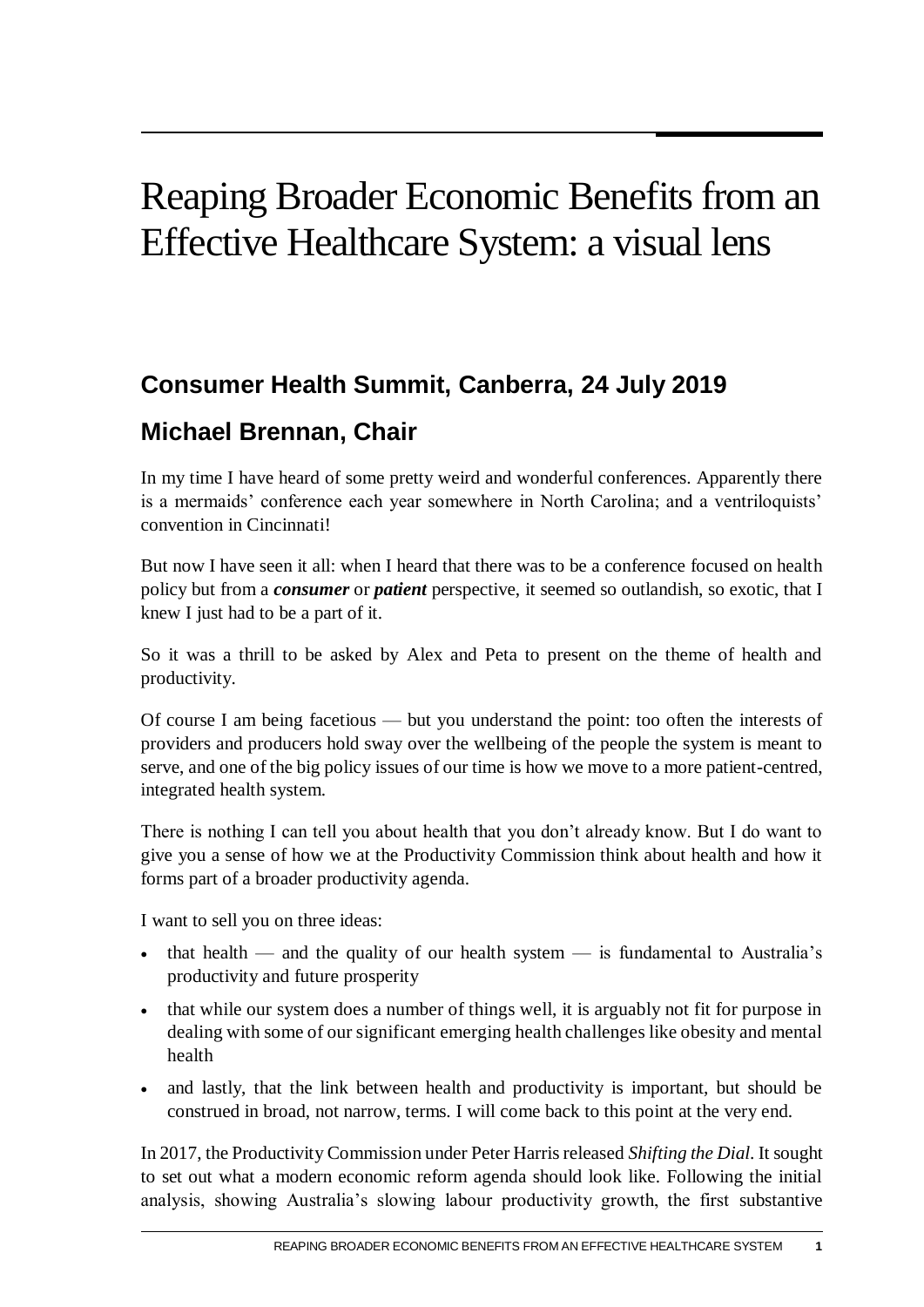## Reaping Broader Economic Benefits from an Effective Healthcare System: a visual lens

## **Consumer Health Summit, Canberra, 24 July 2019**

## **Michael Brennan, Chair**

In my time I have heard of some pretty weird and wonderful conferences. Apparently there is a mermaids' conference each year somewhere in North Carolina; and a ventriloquists' convention in Cincinnati!

But now I have seen it all: when I heard that there was to be a conference focused on health policy but from a *consumer* or *patient* perspective, it seemed so outlandish, so exotic, that I knew I just had to be a part of it.

So it was a thrill to be asked by Alex and Peta to present on the theme of health and productivity.

Of course I am being facetious — but you understand the point: too often the interests of providers and producers hold sway over the wellbeing of the people the system is meant to serve, and one of the big policy issues of our time is how we move to a more patient-centred, integrated health system.

There is nothing I can tell you about health that you don't already know. But I do want to give you a sense of how we at the Productivity Commission think about health and how it forms part of a broader productivity agenda.

I want to sell you on three ideas:

- that health and the quality of our health system is fundamental to Australia's productivity and future prosperity
- that while our system does a number of things well, it is arguably not fit for purpose in dealing with some of our significant emerging health challenges like obesity and mental health
- and lastly, that the link between health and productivity is important, but should be construed in broad, not narrow, terms. I will come back to this point at the very end.

In 2017, the Productivity Commission under Peter Harris released *Shifting the Dial*. It sought to set out what a modern economic reform agenda should look like. Following the initial analysis, showing Australia's slowing labour productivity growth, the first substantive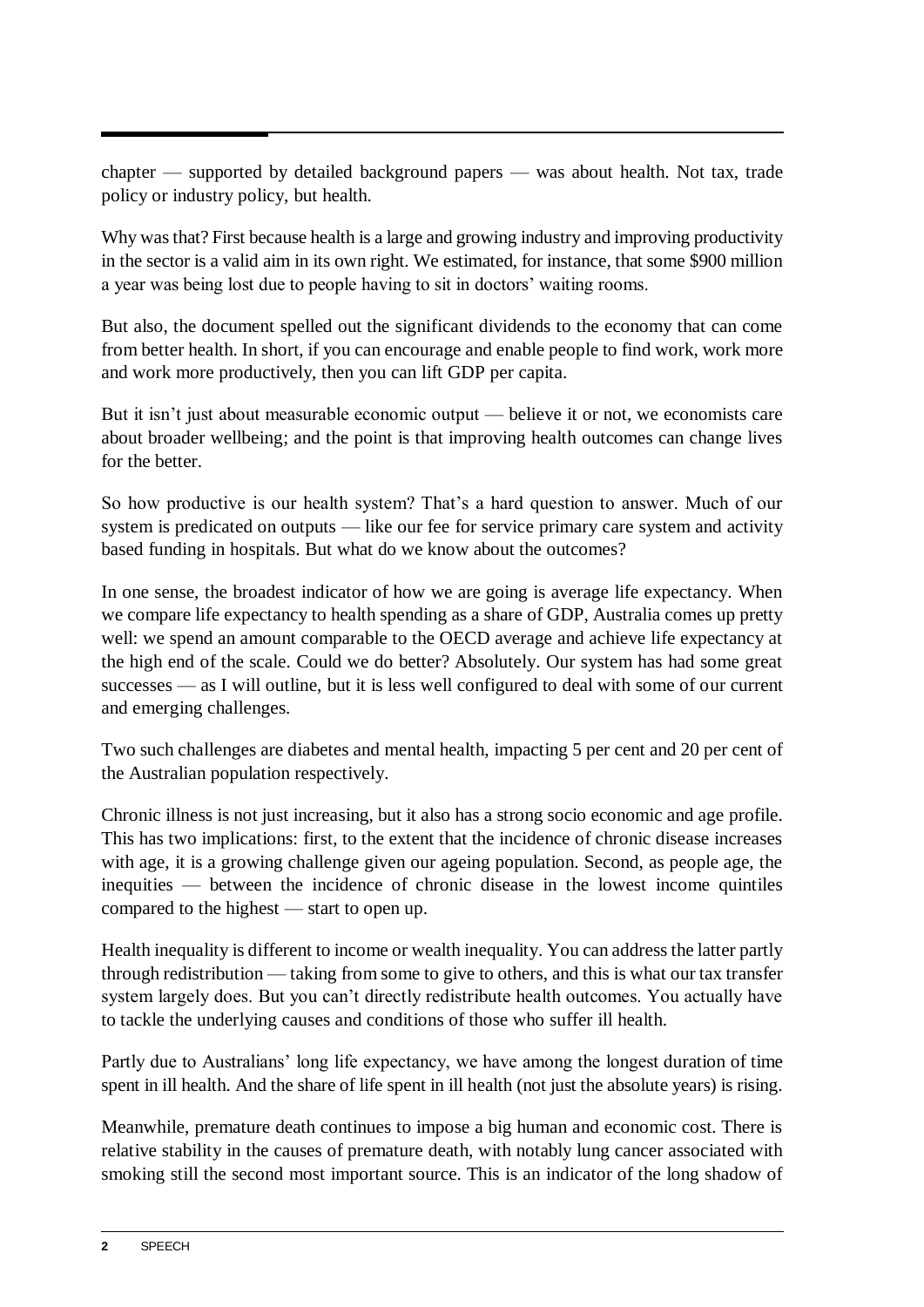chapter — supported by detailed background papers — was about health. Not tax, trade policy or industry policy, but health.

Why was that? First because health is a large and growing industry and improving productivity in the sector is a valid aim in its own right. We estimated, for instance, that some \$900 million a year was being lost due to people having to sit in doctors' waiting rooms.

But also, the document spelled out the significant dividends to the economy that can come from better health. In short, if you can encourage and enable people to find work, work more and work more productively, then you can lift GDP per capita.

But it isn't just about measurable economic output — believe it or not, we economists care about broader wellbeing; and the point is that improving health outcomes can change lives for the better.

So how productive is our health system? That's a hard question to answer. Much of our system is predicated on outputs — like our fee for service primary care system and activity based funding in hospitals. But what do we know about the outcomes?

In one sense, the broadest indicator of how we are going is average life expectancy. When we compare life expectancy to health spending as a share of GDP, Australia comes up pretty well: we spend an amount comparable to the OECD average and achieve life expectancy at the high end of the scale. Could we do better? Absolutely. Our system has had some great successes — as I will outline, but it is less well configured to deal with some of our current and emerging challenges.

Two such challenges are diabetes and mental health, impacting 5 per cent and 20 per cent of the Australian population respectively.

Chronic illness is not just increasing, but it also has a strong socio economic and age profile. This has two implications: first, to the extent that the incidence of chronic disease increases with age, it is a growing challenge given our ageing population. Second, as people age, the inequities — between the incidence of chronic disease in the lowest income quintiles compared to the highest — start to open up.

Health inequality is different to income or wealth inequality. You can address the latter partly through redistribution — taking from some to give to others, and this is what our tax transfer system largely does. But you can't directly redistribute health outcomes. You actually have to tackle the underlying causes and conditions of those who suffer ill health.

Partly due to Australians' long life expectancy, we have among the longest duration of time spent in ill health. And the share of life spent in ill health (not just the absolute years) is rising.

Meanwhile, premature death continues to impose a big human and economic cost. There is relative stability in the causes of premature death, with notably lung cancer associated with smoking still the second most important source. This is an indicator of the long shadow of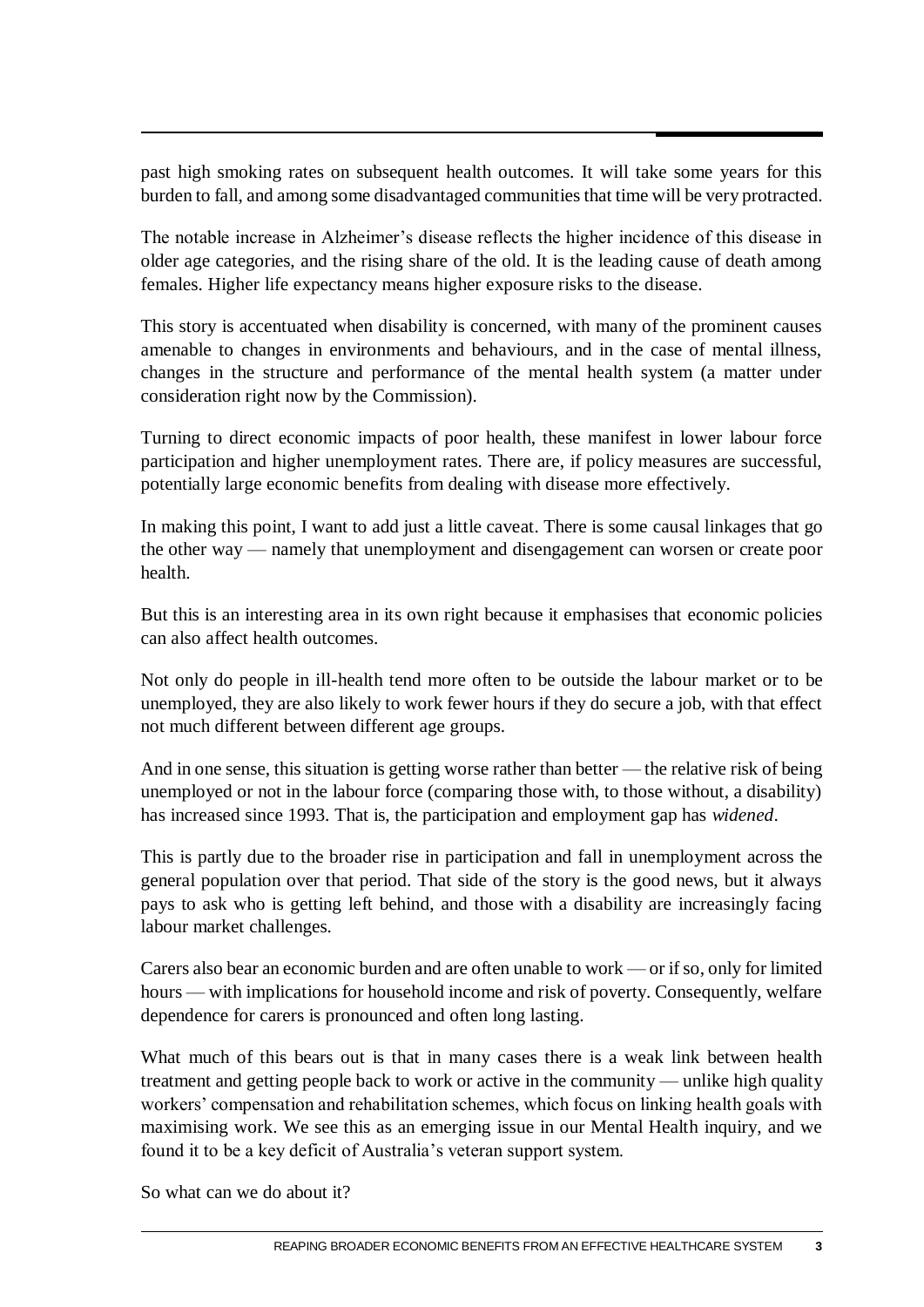past high smoking rates on subsequent health outcomes. It will take some years for this burden to fall, and among some disadvantaged communities that time will be very protracted.

The notable increase in Alzheimer's disease reflects the higher incidence of this disease in older age categories, and the rising share of the old. It is the leading cause of death among females. Higher life expectancy means higher exposure risks to the disease.

This story is accentuated when disability is concerned, with many of the prominent causes amenable to changes in environments and behaviours, and in the case of mental illness, changes in the structure and performance of the mental health system (a matter under consideration right now by the Commission).

Turning to direct economic impacts of poor health, these manifest in lower labour force participation and higher unemployment rates. There are, if policy measures are successful, potentially large economic benefits from dealing with disease more effectively.

In making this point, I want to add just a little caveat. There is some causal linkages that go the other way — namely that unemployment and disengagement can worsen or create poor health.

But this is an interesting area in its own right because it emphasises that economic policies can also affect health outcomes.

Not only do people in ill-health tend more often to be outside the labour market or to be unemployed, they are also likely to work fewer hours if they do secure a job, with that effect not much different between different age groups.

And in one sense, this situation is getting worse rather than better — the relative risk of being unemployed or not in the labour force (comparing those with, to those without, a disability) has increased since 1993. That is, the participation and employment gap has *widened*.

This is partly due to the broader rise in participation and fall in unemployment across the general population over that period. That side of the story is the good news, but it always pays to ask who is getting left behind, and those with a disability are increasingly facing labour market challenges.

Carers also bear an economic burden and are often unable to work — or if so, only for limited hours — with implications for household income and risk of poverty. Consequently, welfare dependence for carers is pronounced and often long lasting.

What much of this bears out is that in many cases there is a weak link between health treatment and getting people back to work or active in the community — unlike high quality workers' compensation and rehabilitation schemes, which focus on linking health goals with maximising work. We see this as an emerging issue in our Mental Health inquiry, and we found it to be a key deficit of Australia's veteran support system.

So what can we do about it?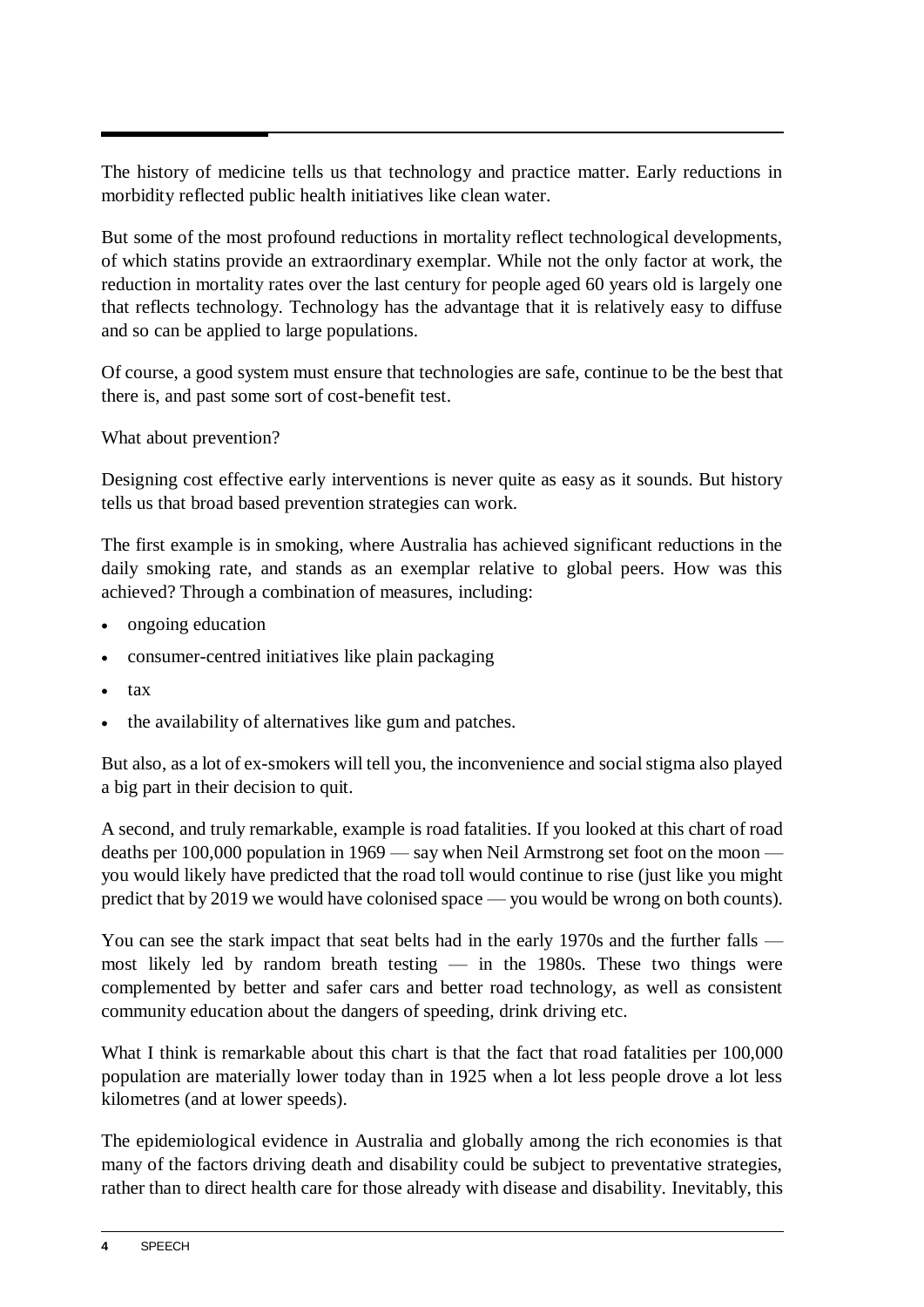The history of medicine tells us that technology and practice matter. Early reductions in morbidity reflected public health initiatives like clean water.

But some of the most profound reductions in mortality reflect technological developments, of which statins provide an extraordinary exemplar. While not the only factor at work, the reduction in mortality rates over the last century for people aged 60 years old is largely one that reflects technology. Technology has the advantage that it is relatively easy to diffuse and so can be applied to large populations.

Of course, a good system must ensure that technologies are safe, continue to be the best that there is, and past some sort of cost-benefit test.

What about prevention?

Designing cost effective early interventions is never quite as easy as it sounds. But history tells us that broad based prevention strategies can work.

The first example is in smoking, where Australia has achieved significant reductions in the daily smoking rate, and stands as an exemplar relative to global peers. How was this achieved? Through a combination of measures, including:

- ongoing education
- consumer-centred initiatives like plain packaging
- tax
- the availability of alternatives like gum and patches.

But also, as a lot of ex-smokers will tell you, the inconvenience and social stigma also played a big part in their decision to quit.

A second, and truly remarkable, example is road fatalities. If you looked at this chart of road deaths per 100,000 population in 1969 — say when Neil Armstrong set foot on the moon you would likely have predicted that the road toll would continue to rise (just like you might predict that by 2019 we would have colonised space — you would be wrong on both counts).

You can see the stark impact that seat belts had in the early 1970s and the further falls most likely led by random breath testing — in the 1980s. These two things were complemented by better and safer cars and better road technology, as well as consistent community education about the dangers of speeding, drink driving etc.

What I think is remarkable about this chart is that the fact that road fatalities per 100,000 population are materially lower today than in 1925 when a lot less people drove a lot less kilometres (and at lower speeds).

The epidemiological evidence in Australia and globally among the rich economies is that many of the factors driving death and disability could be subject to preventative strategies, rather than to direct health care for those already with disease and disability. Inevitably, this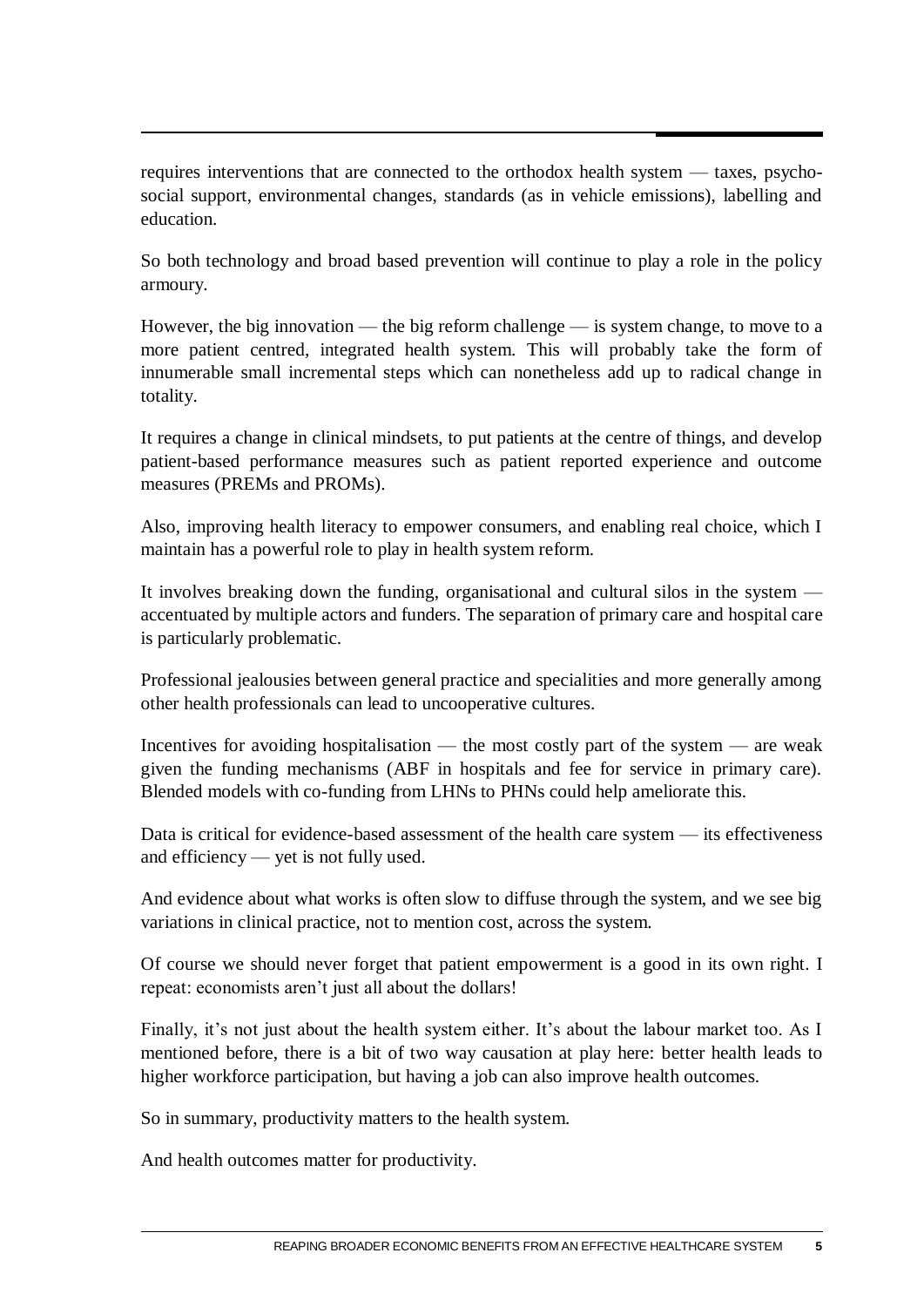requires interventions that are connected to the orthodox health system — taxes, psychosocial support, environmental changes, standards (as in vehicle emissions), labelling and education.

So both technology and broad based prevention will continue to play a role in the policy armoury.

However, the big innovation — the big reform challenge — is system change, to move to a more patient centred, integrated health system. This will probably take the form of innumerable small incremental steps which can nonetheless add up to radical change in totality.

It requires a change in clinical mindsets, to put patients at the centre of things, and develop patient-based performance measures such as patient reported experience and outcome measures (PREMs and PROMs).

Also, improving health literacy to empower consumers, and enabling real choice, which I maintain has a powerful role to play in health system reform.

It involves breaking down the funding, organisational and cultural silos in the system accentuated by multiple actors and funders. The separation of primary care and hospital care is particularly problematic.

Professional jealousies between general practice and specialities and more generally among other health professionals can lead to uncooperative cultures.

Incentives for avoiding hospitalisation — the most costly part of the system — are weak given the funding mechanisms (ABF in hospitals and fee for service in primary care). Blended models with co-funding from LHNs to PHNs could help ameliorate this.

Data is critical for evidence-based assessment of the health care system — its effectiveness and efficiency — yet is not fully used.

And evidence about what works is often slow to diffuse through the system, and we see big variations in clinical practice, not to mention cost, across the system.

Of course we should never forget that patient empowerment is a good in its own right. I repeat: economists aren't just all about the dollars!

Finally, it's not just about the health system either. It's about the labour market too. As I mentioned before, there is a bit of two way causation at play here: better health leads to higher workforce participation, but having a job can also improve health outcomes.

So in summary, productivity matters to the health system.

And health outcomes matter for productivity.